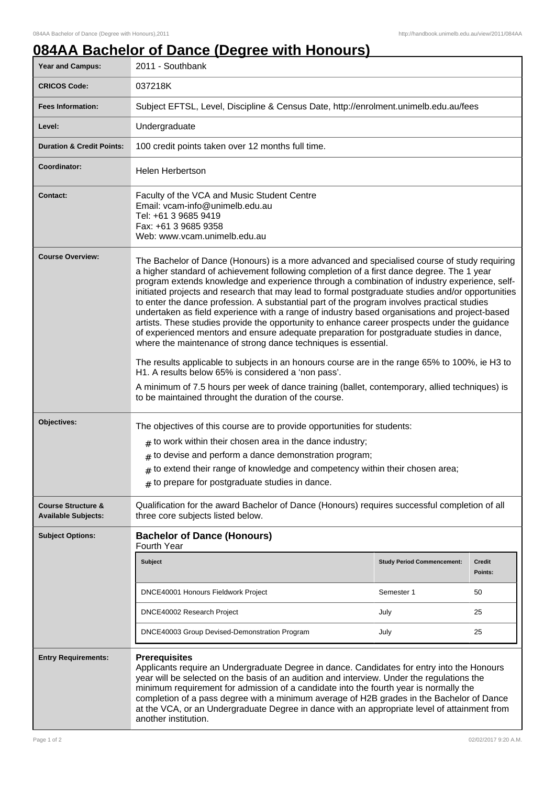## **084AA Bachelor of Dance (Degree with Honours)**

| <b>Year and Campus:</b>                                     | 2011 - Southbank                                                                                                                                                                                                                                                                                                                                                                                                                                                                                                                                                                                                                                                                                                                                                                                                                                                                                                                                                                                                                                                                                                                                                                   |                                   |                          |  |
|-------------------------------------------------------------|------------------------------------------------------------------------------------------------------------------------------------------------------------------------------------------------------------------------------------------------------------------------------------------------------------------------------------------------------------------------------------------------------------------------------------------------------------------------------------------------------------------------------------------------------------------------------------------------------------------------------------------------------------------------------------------------------------------------------------------------------------------------------------------------------------------------------------------------------------------------------------------------------------------------------------------------------------------------------------------------------------------------------------------------------------------------------------------------------------------------------------------------------------------------------------|-----------------------------------|--------------------------|--|
| <b>CRICOS Code:</b>                                         | 037218K                                                                                                                                                                                                                                                                                                                                                                                                                                                                                                                                                                                                                                                                                                                                                                                                                                                                                                                                                                                                                                                                                                                                                                            |                                   |                          |  |
| <b>Fees Information:</b>                                    | Subject EFTSL, Level, Discipline & Census Date, http://enrolment.unimelb.edu.au/fees                                                                                                                                                                                                                                                                                                                                                                                                                                                                                                                                                                                                                                                                                                                                                                                                                                                                                                                                                                                                                                                                                               |                                   |                          |  |
| Level:                                                      | Undergraduate                                                                                                                                                                                                                                                                                                                                                                                                                                                                                                                                                                                                                                                                                                                                                                                                                                                                                                                                                                                                                                                                                                                                                                      |                                   |                          |  |
| <b>Duration &amp; Credit Points:</b>                        | 100 credit points taken over 12 months full time.                                                                                                                                                                                                                                                                                                                                                                                                                                                                                                                                                                                                                                                                                                                                                                                                                                                                                                                                                                                                                                                                                                                                  |                                   |                          |  |
| Coordinator:                                                | <b>Helen Herbertson</b>                                                                                                                                                                                                                                                                                                                                                                                                                                                                                                                                                                                                                                                                                                                                                                                                                                                                                                                                                                                                                                                                                                                                                            |                                   |                          |  |
| <b>Contact:</b>                                             | Faculty of the VCA and Music Student Centre<br>Email: vcam-info@unimelb.edu.au<br>Tel: +61 3 9685 9419<br>Fax: +61 3 9685 9358<br>Web: www.vcam.unimelb.edu.au                                                                                                                                                                                                                                                                                                                                                                                                                                                                                                                                                                                                                                                                                                                                                                                                                                                                                                                                                                                                                     |                                   |                          |  |
| <b>Course Overview:</b>                                     | The Bachelor of Dance (Honours) is a more advanced and specialised course of study requiring<br>a higher standard of achievement following completion of a first dance degree. The 1 year<br>program extends knowledge and experience through a combination of industry experience, self-<br>initiated projects and research that may lead to formal postgraduate studies and/or opportunities<br>to enter the dance profession. A substantial part of the program involves practical studies<br>undertaken as field experience with a range of industry based organisations and project-based<br>artists. These studies provide the opportunity to enhance career prospects under the guidance<br>of experienced mentors and ensure adequate preparation for postgraduate studies in dance,<br>where the maintenance of strong dance techniques is essential.<br>The results applicable to subjects in an honours course are in the range 65% to 100%, ie H3 to<br>H1. A results below 65% is considered a 'non pass'.<br>A minimum of 7.5 hours per week of dance training (ballet, contemporary, allied techniques) is<br>to be maintained throught the duration of the course. |                                   |                          |  |
| Objectives:                                                 | The objectives of this course are to provide opportunities for students:<br>$#$ to work within their chosen area in the dance industry;<br>$#$ to devise and perform a dance demonstration program;<br>$#$ to extend their range of knowledge and competency within their chosen area;<br>$#$ to prepare for postgraduate studies in dance.                                                                                                                                                                                                                                                                                                                                                                                                                                                                                                                                                                                                                                                                                                                                                                                                                                        |                                   |                          |  |
| <b>Course Structure &amp;</b><br><b>Available Subjects:</b> | Qualification for the award Bachelor of Dance (Honours) requires successful completion of all<br>three core subjects listed below.                                                                                                                                                                                                                                                                                                                                                                                                                                                                                                                                                                                                                                                                                                                                                                                                                                                                                                                                                                                                                                                 |                                   |                          |  |
| <b>Subject Options:</b>                                     | <b>Bachelor of Dance (Honours)</b><br>Fourth Year                                                                                                                                                                                                                                                                                                                                                                                                                                                                                                                                                                                                                                                                                                                                                                                                                                                                                                                                                                                                                                                                                                                                  |                                   |                          |  |
|                                                             | <b>Subject</b>                                                                                                                                                                                                                                                                                                                                                                                                                                                                                                                                                                                                                                                                                                                                                                                                                                                                                                                                                                                                                                                                                                                                                                     | <b>Study Period Commencement:</b> | <b>Credit</b><br>Points: |  |
|                                                             | DNCE40001 Honours Fieldwork Project                                                                                                                                                                                                                                                                                                                                                                                                                                                                                                                                                                                                                                                                                                                                                                                                                                                                                                                                                                                                                                                                                                                                                | Semester 1                        | 50                       |  |
|                                                             | DNCE40002 Research Project                                                                                                                                                                                                                                                                                                                                                                                                                                                                                                                                                                                                                                                                                                                                                                                                                                                                                                                                                                                                                                                                                                                                                         | July                              | 25                       |  |
|                                                             | DNCE40003 Group Devised-Demonstration Program                                                                                                                                                                                                                                                                                                                                                                                                                                                                                                                                                                                                                                                                                                                                                                                                                                                                                                                                                                                                                                                                                                                                      | July                              | 25                       |  |
| <b>Entry Requirements:</b>                                  | <b>Prerequisites</b><br>Applicants require an Undergraduate Degree in dance. Candidates for entry into the Honours<br>year will be selected on the basis of an audition and interview. Under the regulations the<br>minimum requirement for admission of a candidate into the fourth year is normally the<br>completion of a pass degree with a minimum average of H2B grades in the Bachelor of Dance<br>at the VCA, or an Undergraduate Degree in dance with an appropriate level of attainment from<br>another institution.                                                                                                                                                                                                                                                                                                                                                                                                                                                                                                                                                                                                                                                     |                                   |                          |  |